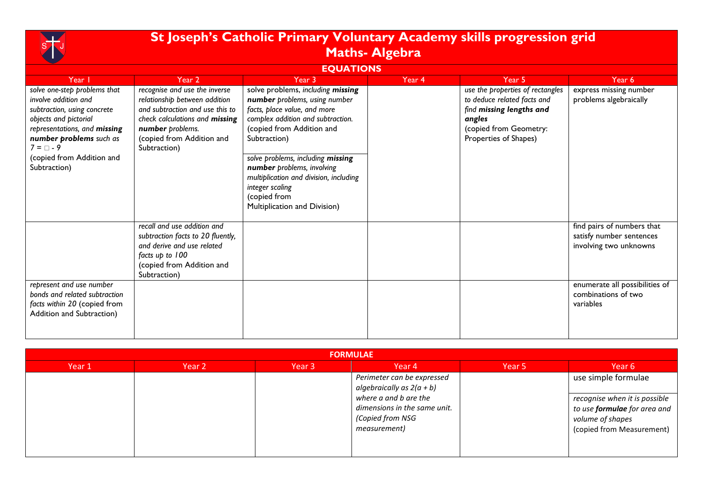

## **St Joseph's Catholic Primary Voluntary Academy skills progression grid Maths- Algebra**

## **EQUATIONS**

| Year I                                                                                                                                                                                                                                 | Year 2                                                                                                                                                                                               | Year 3                                                                                                                                                                                                                                                                                                                                                               | Year 4 | Year 5                                                                                                                                                   | Year 6                                                                           |
|----------------------------------------------------------------------------------------------------------------------------------------------------------------------------------------------------------------------------------------|------------------------------------------------------------------------------------------------------------------------------------------------------------------------------------------------------|----------------------------------------------------------------------------------------------------------------------------------------------------------------------------------------------------------------------------------------------------------------------------------------------------------------------------------------------------------------------|--------|----------------------------------------------------------------------------------------------------------------------------------------------------------|----------------------------------------------------------------------------------|
| solve one-step problems that<br>involve addition and<br>subtraction, using concrete<br>objects and pictorial<br>representations, and missing<br>number problems such as<br>$7 = \Box - 9$<br>(copied from Addition and<br>Subtraction) | recognise and use the inverse<br>relationship between addition<br>and subtraction and use this to<br>check calculations and missing<br>number problems.<br>(copied from Addition and<br>Subtraction) | solve problems, including missing<br>number problems, using number<br>facts, place value, and more<br>complex addition and subtraction.<br>(copied from Addition and<br>Subtraction)<br>solve problems, including missing<br>number problems, involving<br>multiplication and division, including<br>integer scaling<br>(copied from<br>Multiplication and Division) |        | use the properties of rectangles<br>to deduce related facts and<br>find missing lengths and<br>angles<br>(copied from Geometry:<br>Properties of Shapes) | express missing number<br>problems algebraically                                 |
|                                                                                                                                                                                                                                        | recall and use addition and<br>subtraction facts to 20 fluently,<br>and derive and use related<br>facts up to 100<br>(copied from Addition and<br>Subtraction)                                       |                                                                                                                                                                                                                                                                                                                                                                      |        |                                                                                                                                                          | find pairs of numbers that<br>satisfy number sentences<br>involving two unknowns |
| represent and use number<br>bonds and related subtraction<br>facts within 20 (copied from<br>Addition and Subtraction)                                                                                                                 |                                                                                                                                                                                                      |                                                                                                                                                                                                                                                                                                                                                                      |        |                                                                                                                                                          | enumerate all possibilities of<br>combinations of two<br>variables               |

| <b>FORMULAE</b> |        |        |                                                                                                                                                        |        |                                                                                                                                              |  |  |  |  |
|-----------------|--------|--------|--------------------------------------------------------------------------------------------------------------------------------------------------------|--------|----------------------------------------------------------------------------------------------------------------------------------------------|--|--|--|--|
| Year 1          | Year 2 | Year 3 | Year 4                                                                                                                                                 | Year 5 | Year 6                                                                                                                                       |  |  |  |  |
|                 |        |        | Perimeter can be expressed<br>algebraically as $2(a + b)$<br>where a and b are the<br>dimensions in the same unit.<br>(Copied from NSG<br>measurement) |        | use simple formulae<br>recognise when it is possible<br>to use <b>formulae</b> for area and<br>volume of shapes<br>(copied from Measurement) |  |  |  |  |